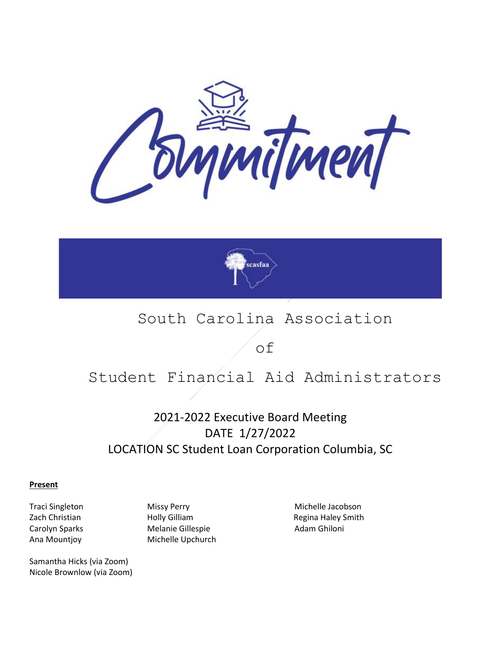



## South Carolina Association

of

# Student Financial Aid Administrators

### 2021-2022 Executive Board Meeting DATE 1/27/2022 LOCATION SC Student Loan Corporation Columbia, SC

**Present**

Samantha Hicks (via Zoom) Nicole Brownlow (via Zoom)

Zach Christian **Holly Gilliam** Holly Gilliam Regina Haley Smith Carolyn Sparks **Melanie Gillespie Melanie Gillespie** Adam Ghiloni Ana Mountjoy Michelle Upchurch

Traci Singleton Missy Perry Michelle Jacobson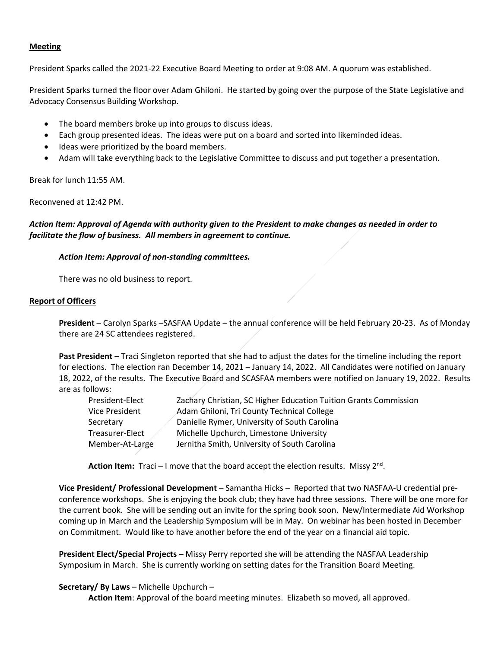#### **Meeting**

President Sparks called the 2021-22 Executive Board Meeting to order at 9:08 AM. A quorum was established.

President Sparks turned the floor over Adam Ghiloni. He started by going over the purpose of the State Legislative and Advocacy Consensus Building Workshop.

- The board members broke up into groups to discuss ideas.
- Each group presented ideas. The ideas were put on a board and sorted into likeminded ideas.
- Ideas were prioritized by the board members.
- Adam will take everything back to the Legislative Committee to discuss and put together a presentation.

Break for lunch 11:55 AM.

Reconvened at 12:42 PM.

#### *Action Item: Approval of Agenda with authority given to the President to make changes as needed in order to facilitate the flow of business. All members in agreement to continue.*

#### *Action Item: Approval of non-standing committees.*

There was no old business to report.

#### **Report of Officers**

**President** – Carolyn Sparks –SASFAA Update – the annual conference will be held February 20-23. As of Monday there are 24 SC attendees registered.

**Past President** – Traci Singleton reported that she had to adjust the dates for the timeline including the report for elections. The election ran December 14, 2021 – January 14, 2022. All Candidates were notified on January 18, 2022, of the results. The Executive Board and SCASFAA members were notified on January 19, 2022. Results are as follows:

| President-Elect | Zachary Christian, SC Higher Education Tuition Grants Commission |
|-----------------|------------------------------------------------------------------|
| Vice President  | Adam Ghiloni, Tri County Technical College                       |
| Secretary       | Danielle Rymer, University of South Carolina                     |
| Treasurer-Elect | Michelle Upchurch, Limestone University                          |
| Member-At-Large | Jernitha Smith, University of South Carolina                     |

Action Item: Traci – I move that the board accept the election results. Missy 2<sup>nd</sup>.

**Vice President/ Professional Development** – Samantha Hicks – Reported that two NASFAA-U credential preconference workshops. She is enjoying the book club; they have had three sessions. There will be one more for the current book. She will be sending out an invite for the spring book soon. New/Intermediate Aid Workshop coming up in March and the Leadership Symposium will be in May. On webinar has been hosted in December on Commitment. Would like to have another before the end of the year on a financial aid topic.

**President Elect/Special Projects** – Missy Perry reported she will be attending the NASFAA Leadership Symposium in March. She is currently working on setting dates for the Transition Board Meeting.

#### **Secretary/ By Laws** – Michelle Upchurch –

**Action Item**: Approval of the board meeting minutes. Elizabeth so moved, all approved.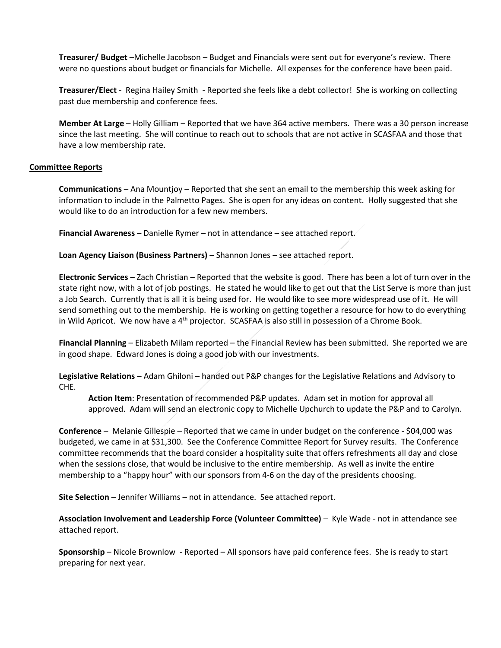**Treasurer/ Budget** –Michelle Jacobson – Budget and Financials were sent out for everyone's review. There were no questions about budget or financials for Michelle. All expenses for the conference have been paid.

**Treasurer/Elect** - Regina Hailey Smith - Reported she feels like a debt collector! She is working on collecting past due membership and conference fees.

**Member At Large** – Holly Gilliam – Reported that we have 364 active members. There was a 30 person increase since the last meeting. She will continue to reach out to schools that are not active in SCASFAA and those that have a low membership rate.

#### **Committee Reports**

**Communications** – Ana Mountjoy – Reported that she sent an email to the membership this week asking for information to include in the Palmetto Pages. She is open for any ideas on content. Holly suggested that she would like to do an introduction for a few new members.

**Financial Awareness** – Danielle Rymer – not in attendance – see attached report.

**Loan Agency Liaison (Business Partners)** – Shannon Jones – see attached report.

**Electronic Services** – Zach Christian – Reported that the website is good. There has been a lot of turn over in the state right now, with a lot of job postings. He stated he would like to get out that the List Serve is more than just a Job Search. Currently that is all it is being used for. He would like to see more widespread use of it. He will send something out to the membership. He is working on getting together a resource for how to do everything in Wild Apricot. We now have a  $4<sup>th</sup>$  projector. SCASFAA is also still in possession of a Chrome Book.

**Financial Planning** – Elizabeth Milam reported – the Financial Review has been submitted. She reported we are in good shape. Edward Jones is doing a good job with our investments.

**Legislative Relations** – Adam Ghiloni – handed out P&P changes for the Legislative Relations and Advisory to CHE.

**Action Item**: Presentation of recommended P&P updates. Adam set in motion for approval all approved. Adam will send an electronic copy to Michelle Upchurch to update the P&P and to Carolyn.

**Conference** – Melanie Gillespie – Reported that we came in under budget on the conference - \$04,000 was budgeted, we came in at \$31,300. See the Conference Committee Report for Survey results. The Conference committee recommends that the board consider a hospitality suite that offers refreshments all day and close when the sessions close, that would be inclusive to the entire membership. As well as invite the entire membership to a "happy hour" with our sponsors from 4-6 on the day of the presidents choosing.

**Site Selection** – Jennifer Williams – not in attendance. See attached report.

**Association Involvement and Leadership Force (Volunteer Committee)** – Kyle Wade - not in attendance see attached report.

**Sponsorship** – Nicole Brownlow - Reported – All sponsors have paid conference fees. She is ready to start preparing for next year.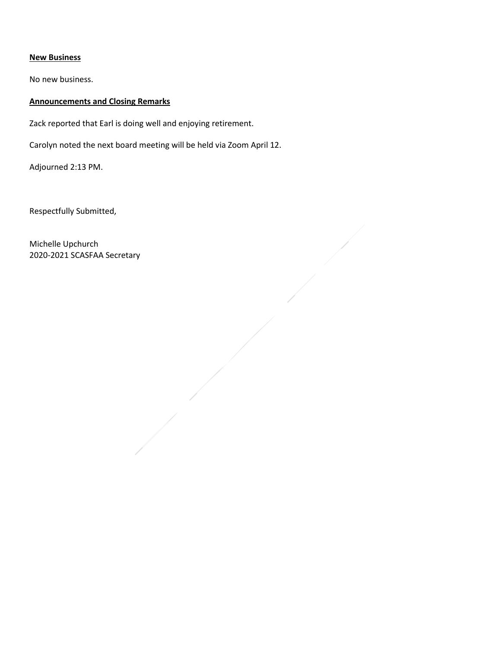#### **New Business**

No new business.

### **Announcements and Closing Remarks**

Zack reported that Earl is doing well and enjoying retirement.

Carolyn noted the next board meeting will be held via Zoom April 12.

Adjourned 2:13 PM.

Respectfully Submitted,

Michelle Upchurch 2020-2021 SCASFAA Secretary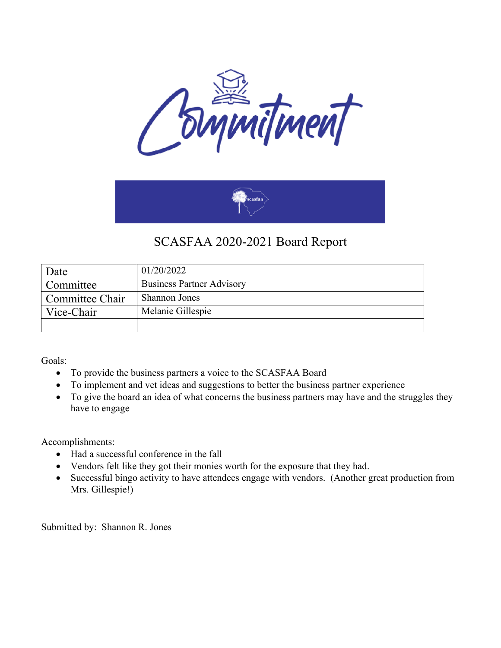



## SCASFAA 2020-2021 Board Report

| Date            | 01/20/2022                       |
|-----------------|----------------------------------|
| Committee       | <b>Business Partner Advisory</b> |
| Committee Chair | <b>Shannon Jones</b>             |
| Vice-Chair      | Melanie Gillespie                |
|                 |                                  |

Goals:

- To provide the business partners a voice to the SCASFAA Board
- To implement and vet ideas and suggestions to better the business partner experience
- To give the board an idea of what concerns the business partners may have and the struggles they have to engage

Accomplishments:

- Had a successful conference in the fall
- Vendors felt like they got their monies worth for the exposure that they had.
- Successful bingo activity to have attendees engage with vendors. (Another great production from Mrs. Gillespie!)

Submitted by: Shannon R. Jones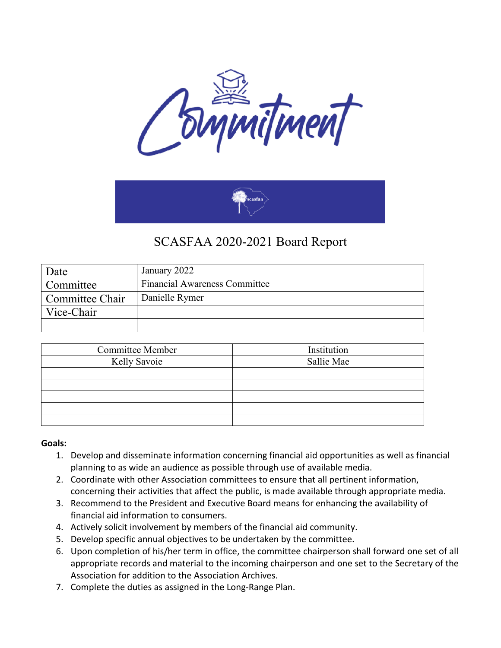



## SCASFAA 2020-2021 Board Report

| Date            | January 2022                         |
|-----------------|--------------------------------------|
| Committee       | <b>Financial Awareness Committee</b> |
| Committee Chair | Danielle Rymer                       |
| Vice-Chair      |                                      |
|                 |                                      |

| <b>Committee Member</b> | Institution |
|-------------------------|-------------|
| Kelly Savoie            | Sallie Mae  |
|                         |             |
|                         |             |
|                         |             |
|                         |             |
|                         |             |

### **Goals:**

- 1. Develop and disseminate information concerning financial aid opportunities as well as financial planning to as wide an audience as possible through use of available media.
- 2. Coordinate with other Association committees to ensure that all pertinent information, concerning their activities that affect the public, is made available through appropriate media.
- 3. Recommend to the President and Executive Board means for enhancing the availability of financial aid information to consumers.
- 4. Actively solicit involvement by members of the financial aid community.
- 5. Develop specific annual objectives to be undertaken by the committee.
- 6. Upon completion of his/her term in office, the committee chairperson shall forward one set of all appropriate records and material to the incoming chairperson and one set to the Secretary of the Association for addition to the Association Archives.
- 7. Complete the duties as assigned in the Long-Range Plan.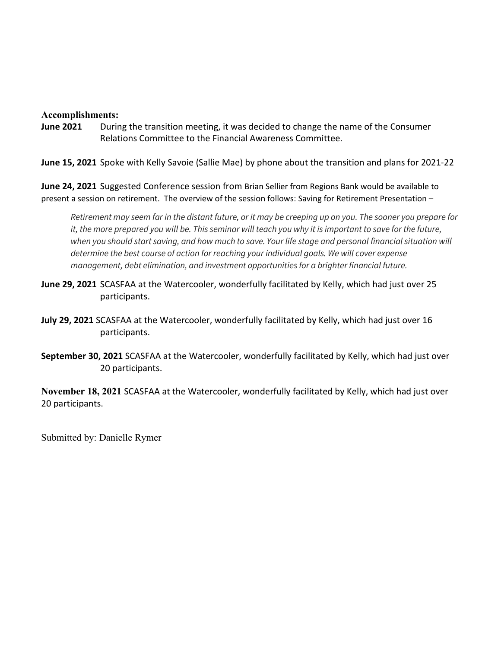### **Accomplishments:**

**June 2021** During the transition meeting, it was decided to change the name of the Consumer Relations Committee to the Financial Awareness Committee.

**June 15, 2021** Spoke with Kelly Savoie (Sallie Mae) by phone about the transition and plans for 2021-22

**June 24, 2021** Suggested Conference session from Brian Sellier from Regions Bank would be available to present a session on retirement. The overview of the session follows: Saving for Retirement Presentation –

*Retirement may seem far in the distant future, or it may be creeping up on you. The sooner you prepare for it, the more prepared you will be. This seminar will teach you why it is important to save for the future, when you should start saving, and how much to save. Your life stage and personal financial situation will determine the best course of action for reaching your individual goals. We will cover expense management, debt elimination, and investment opportunities for a brighter financial future.*

- **June 29, 2021** SCASFAA at the Watercooler, wonderfully facilitated by Kelly, which had just over 25 participants.
- **July 29, 2021** SCASFAA at the Watercooler, wonderfully facilitated by Kelly, which had just over 16 participants.
- **September 30, 2021** SCASFAA at the Watercooler, wonderfully facilitated by Kelly, which had just over 20 participants.

**November 18, 2021** SCASFAA at the Watercooler, wonderfully facilitated by Kelly, which had just over 20 participants.

Submitted by: Danielle Rymer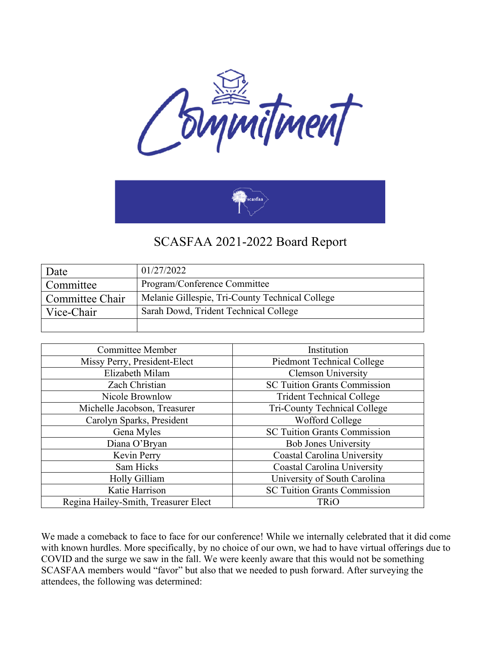



### SCASFAA 2021-2022 Board Report

| Date            | 01/27/2022                                      |
|-----------------|-------------------------------------------------|
| Committee       | Program/Conference Committee                    |
| Committee Chair | Melanie Gillespie, Tri-County Technical College |
| Vice-Chair      | Sarah Dowd, Trident Technical College           |
|                 |                                                 |

| <b>Committee Member</b>              | Institution                         |
|--------------------------------------|-------------------------------------|
| Missy Perry, President-Elect         | Piedmont Technical College          |
| Elizabeth Milam                      | <b>Clemson University</b>           |
| Zach Christian                       | <b>SC Tuition Grants Commission</b> |
| Nicole Brownlow                      | <b>Trident Technical College</b>    |
| Michelle Jacobson, Treasurer         | Tri-County Technical College        |
| Carolyn Sparks, President            | Wofford College                     |
| Gena Myles                           | <b>SC Tuition Grants Commission</b> |
| Diana O'Bryan                        | <b>Bob Jones University</b>         |
| Kevin Perry                          | Coastal Carolina University         |
| Sam Hicks                            | Coastal Carolina University         |
| Holly Gilliam                        | University of South Carolina        |
| Katie Harrison                       | <b>SC Tuition Grants Commission</b> |
| Regina Hailey-Smith, Treasurer Elect | <b>TRiO</b>                         |

We made a comeback to face to face for our conference! While we internally celebrated that it did come with known hurdles. More specifically, by no choice of our own, we had to have virtual offerings due to COVID and the surge we saw in the fall. We were keenly aware that this would not be something SCASFAA members would "favor" but also that we needed to push forward. After surveying the attendees, the following was determined: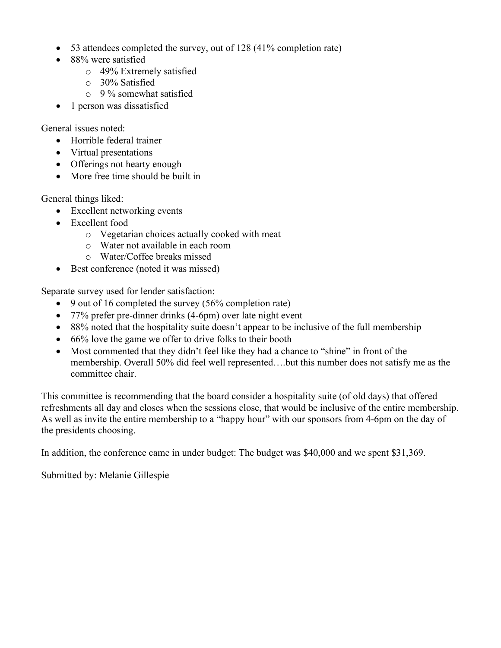- 53 attendees completed the survey, out of 128 (41% completion rate)
- 88% were satisfied
	- o 49% Extremely satisfied
	- o 30% Satisfied
	- $\circ$  9 % somewhat satisfied
- 1 person was dissatisfied

General issues noted:

- Horrible federal trainer
- Virtual presentations
- Offerings not hearty enough
- More free time should be built in

General things liked:

- Excellent networking events
- Excellent food
	- o Vegetarian choices actually cooked with meat
	- o Water not available in each room
	- o Water/Coffee breaks missed
- Best conference (noted it was missed)

Separate survey used for lender satisfaction:

- 9 out of 16 completed the survey (56% completion rate)
- 77% prefer pre-dinner drinks (4-6pm) over late night event
- 88% noted that the hospitality suite doesn't appear to be inclusive of the full membership
- 66% love the game we offer to drive folks to their booth
- Most commented that they didn't feel like they had a chance to "shine" in front of the membership. Overall 50% did feel well represented….but this number does not satisfy me as the committee chair.

This committee is recommending that the board consider a hospitality suite (of old days) that offered refreshments all day and closes when the sessions close, that would be inclusive of the entire membership. As well as invite the entire membership to a "happy hour" with our sponsors from 4-6pm on the day of the presidents choosing.

In addition, the conference came in under budget: The budget was \$40,000 and we spent \$31,369.

Submitted by: Melanie Gillespie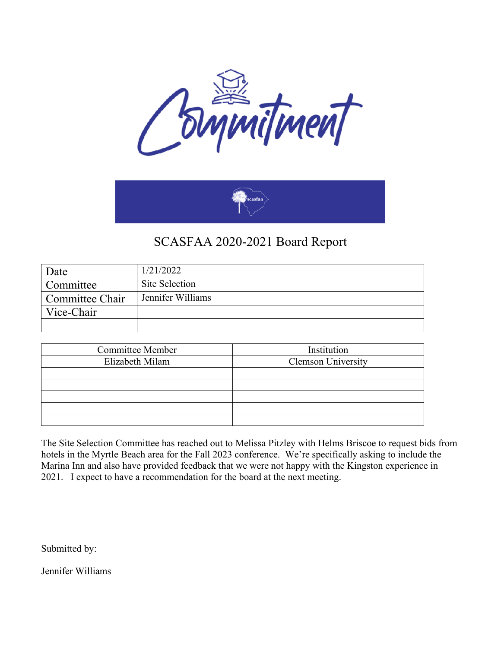



## SCASFAA 2020-2021 Board Report

| Date            | 1/21/2022         |
|-----------------|-------------------|
| Committee       | Site Selection    |
| Committee Chair | Jennifer Williams |
| Vice-Chair      |                   |
|                 |                   |

| <b>Committee Member</b> | Institution               |
|-------------------------|---------------------------|
| Elizabeth Milam         | <b>Clemson University</b> |
|                         |                           |
|                         |                           |
|                         |                           |
|                         |                           |
|                         |                           |

The Site Selection Committee has reached out to Melissa Pitzley with Helms Briscoe to request bids from hotels in the Myrtle Beach area for the Fall 2023 conference. We're specifically asking to include the Marina Inn and also have provided feedback that we were not happy with the Kingston experience in 2021. I expect to have a recommendation for the board at the next meeting.

Submitted by:

Jennifer Williams